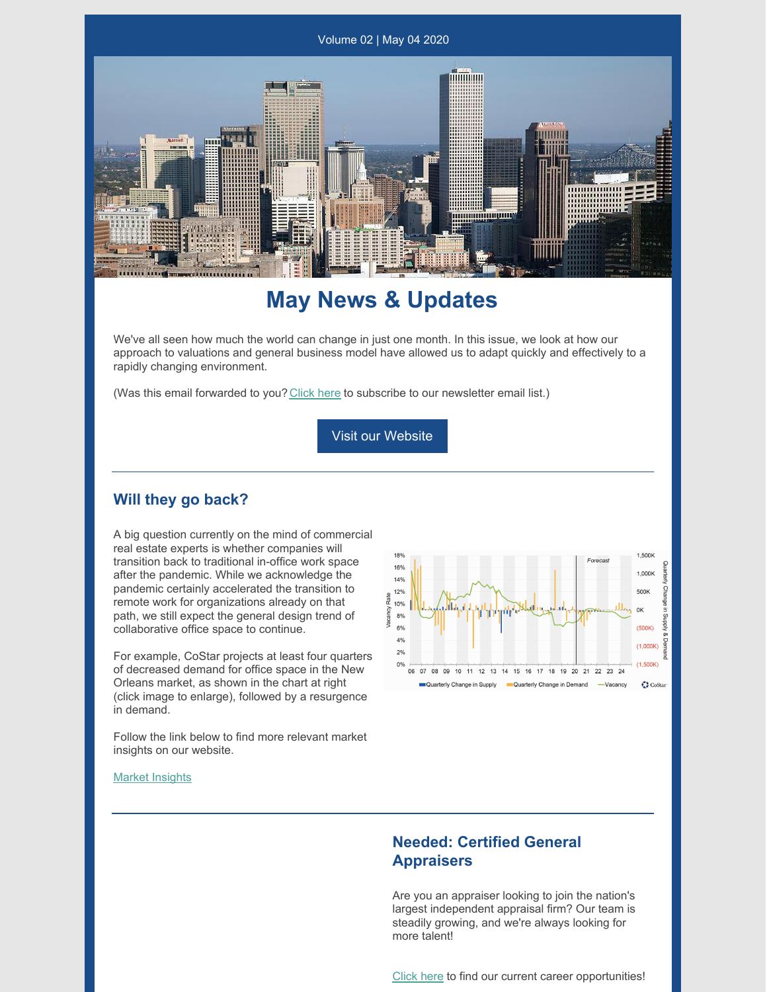

## **May News & Updates**

We've all seen how much the world can change in just one month. In this issue, we look at how our approach to valuations and general business model have allowed us to adapt quickly and effectively to a rapidly changing environment.

(Was this email forwarded to you? [Click](https://visitor.r20.constantcontact.com/d.jsp?llr=kvqu4cabb&p=oi&m=kvqu4cabb&sit=vmjwiqcob&f=b67984d6-d80a-4c56-9c6c-477692358104) here to subscribe to our newsletter email list.)

Visit our Website

#### **Will they go back?**

A big question currently on the mind of commercial real estate experts is whether companies will transition back to traditional in-office work space after the pandemic. While we acknowledge the pandemic certainly accelerated the transition to remote work for organizations already on that path, we still expect the general design trend of collaborative office space to continue.

For example, CoStar projects at least four quarters of decreased demand for office space in the New Orleans market, as shown in the chart at right (click image to enlarge), followed by a resurgence in demand.

Follow the link below to find more relevant market insights on our website.



#### Market [Insights](https://www.valbridge.com/appraiser/93/greater-new-orleans-area-la/market-insights)

#### **Needed: Certified General Appraisers**

Are you an appraiser looking to join the nation's largest independent appraisal firm? Our team is steadily growing, and we're always looking for more talent!

[Click](https://www.valbridge.com/appraiser/93/greater-new-orleans-area-la/careers) here to find our current career opportunities!